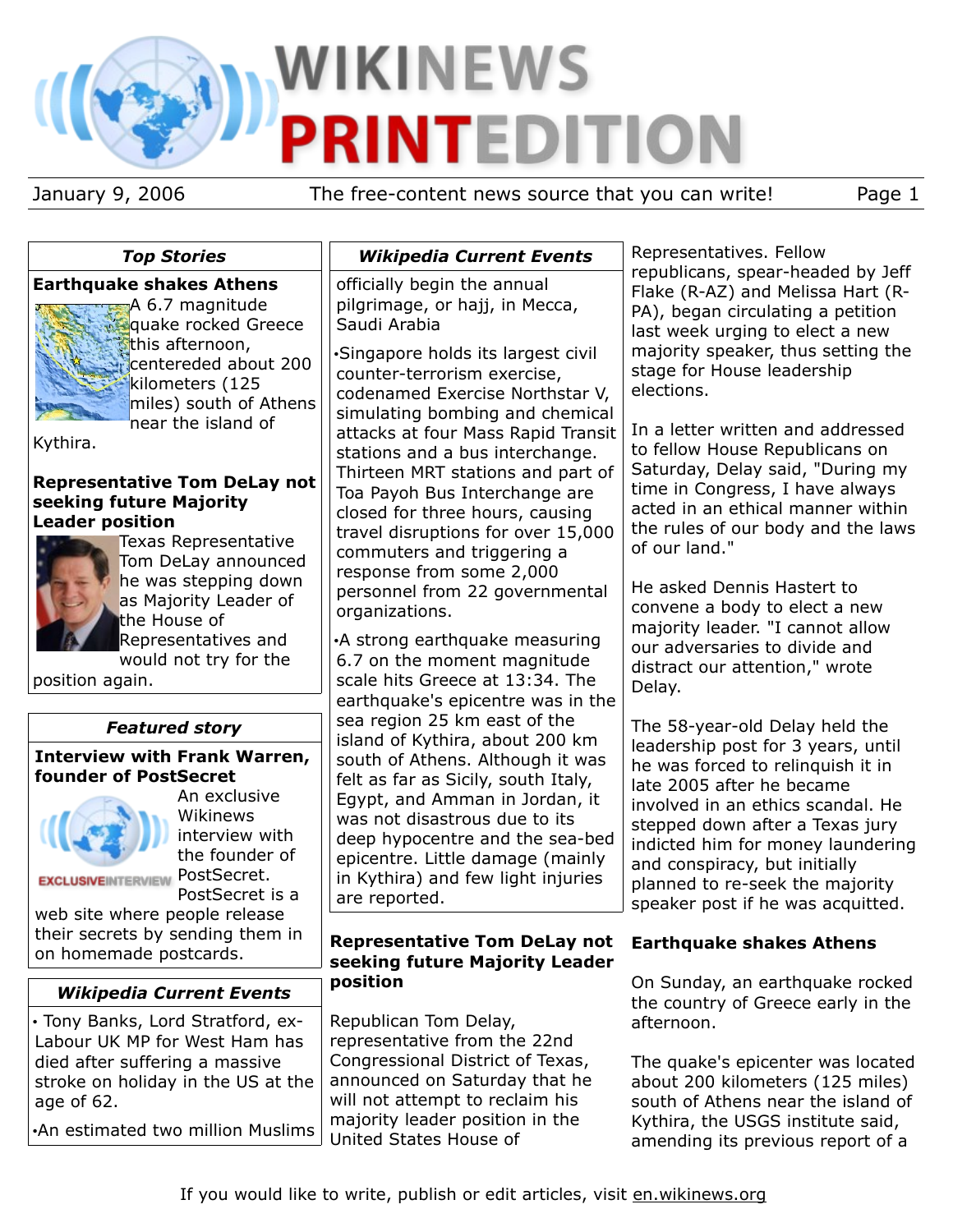# **WIKINEWS DITIO** TEI Р

January 9, 2006 The free-content news source that you can write! Page 1

| <b>Top Stories</b>                                                                                                                      | <b>Wikipedia Current Events</b>                                                                                                                                                                                                                      | Representatives. Fellow                                                                                                                                                                                                                            |
|-----------------------------------------------------------------------------------------------------------------------------------------|------------------------------------------------------------------------------------------------------------------------------------------------------------------------------------------------------------------------------------------------------|----------------------------------------------------------------------------------------------------------------------------------------------------------------------------------------------------------------------------------------------------|
|                                                                                                                                         |                                                                                                                                                                                                                                                      | republicans, spear-headed by Jeff                                                                                                                                                                                                                  |
| <b>Earthquake shakes Athens</b><br>A 6.7 magnitude<br>quake rocked Greece                                                               | officially begin the annual<br>pilgrimage, or hajj, in Mecca,<br>Saudi Arabia                                                                                                                                                                        | Flake (R-AZ) and Melissa Hart (R-<br>PA), began circulating a petition<br>last week urging to elect a new                                                                                                                                          |
| this afternoon,<br>centereded about 200<br>kilometers (125<br>miles) south of Athens                                                    | Singapore holds its largest civil<br>counter-terrorism exercise,<br>codenamed Exercise Northstar V,<br>simulating bombing and chemical                                                                                                               | majority speaker, thus setting the<br>stage for House leadership<br>elections.                                                                                                                                                                     |
| 'near the island of<br>Kythira.                                                                                                         | attacks at four Mass Rapid Transit<br>stations and a bus interchange.                                                                                                                                                                                | In a letter written and addressed<br>to fellow House Republicans on<br>Saturday, Delay said, "During my                                                                                                                                            |
| <b>Representative Tom DeLay not</b><br>seeking future Majority<br><b>Leader position</b><br>Texas Representative<br>Tom DeLay announced | Thirteen MRT stations and part of<br>Toa Payoh Bus Interchange are<br>closed for three hours, causing<br>travel disruptions for over 15,000<br>commuters and triggering a<br>response from some 2,000                                                | time in Congress, I have always<br>acted in an ethical manner within<br>the rules of our body and the laws<br>of our land."                                                                                                                        |
| he was stepping down<br>as Majority Leader of<br>the House of<br>Representatives and<br>would not try for the                           | personnel from 22 governmental<br>organizations.<br>•A strong earthquake measuring<br>6.7 on the moment magnitude                                                                                                                                    | He asked Dennis Hastert to<br>convene a body to elect a new<br>majority leader. "I cannot allow<br>our adversaries to divide and<br>distract our attention," wrote                                                                                 |
| position again.                                                                                                                         | scale hits Greece at 13:34. The<br>earthquake's epicentre was in the                                                                                                                                                                                 | Delay.                                                                                                                                                                                                                                             |
| <b>Featured story</b>                                                                                                                   | sea region 25 km east of the                                                                                                                                                                                                                         | The 58-year-old Delay held the                                                                                                                                                                                                                     |
| <b>Interview with Frank Warren,</b><br>founder of PostSecret<br>An exclusive<br>Wikinews<br>interview with<br>the founder of            | island of Kythira, about 200 km<br>south of Athens. Although it was<br>felt as far as Sicily, south Italy,<br>Egypt, and Amman in Jordan, it<br>was not disastrous due to its<br>deep hypocentre and the sea-bed<br>epicentre. Little damage (mainly | leadership post for 3 years, until<br>he was forced to relinquish it in<br>late 2005 after he became<br>involved in an ethics scandal. He<br>stepped down after a Texas jury<br>indicted him for money laundering<br>and conspiracy, but initially |
| PostSecret.<br><b>EXCLUSIVEINTERVIEW</b><br>PostSecret is a<br>web site where people release                                            | in Kythira) and few light injuries<br>are reported.                                                                                                                                                                                                  | planned to re-seek the majority<br>speaker post if he was acquitted.                                                                                                                                                                               |
| their secrets by sending them in<br>on homemade postcards.                                                                              | <b>Representative Tom DeLay not</b><br>seeking future Majority Leader                                                                                                                                                                                | <b>Earthquake shakes Athens</b>                                                                                                                                                                                                                    |
| <b>Wikipedia Current Events</b>                                                                                                         | position                                                                                                                                                                                                                                             | On Sunday, an earthquake rocked                                                                                                                                                                                                                    |
| · Tony Banks, Lord Stratford, ex-<br>Labour UK MP for West Ham has                                                                      | Republican Tom Delay,<br>representative from the 22nd                                                                                                                                                                                                | the country of Greece early in the<br>afternoon.                                                                                                                                                                                                   |
| died after suffering a massive<br>stroke on holiday in the US at the<br>age of 62.                                                      | Congressional District of Texas,<br>announced on Saturday that he<br>will not attempt to reclaim his<br>majority leader position in the                                                                                                              | The quake's epicenter was located<br>about 200 kilometers (125 miles)<br>south of Athens near the island of<br>Kythira, the USGS institute said,                                                                                                   |
| .An estimated two million Muslims                                                                                                       | United States House of                                                                                                                                                                                                                               | amending its previous report of a                                                                                                                                                                                                                  |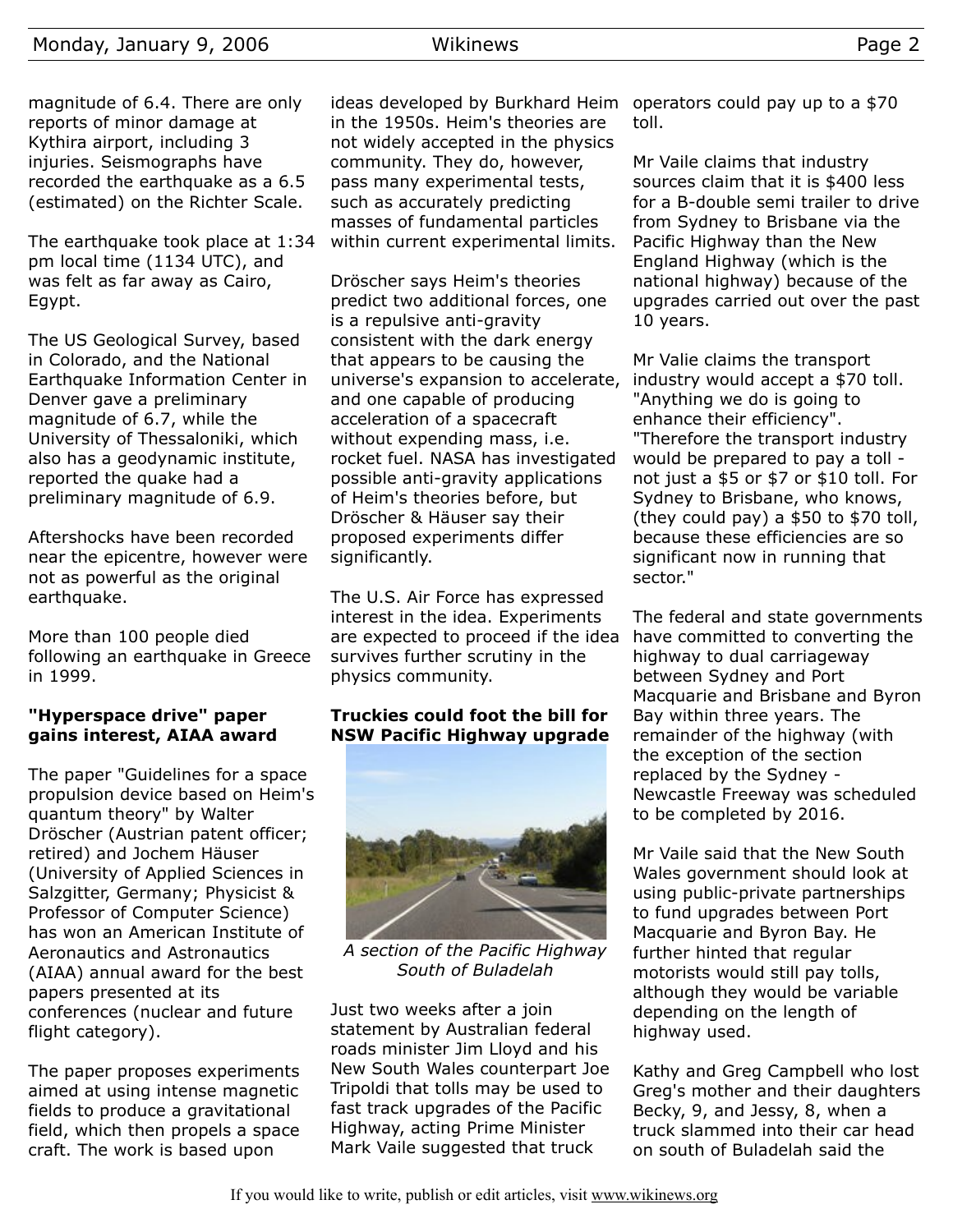# Monday, January 9, 2006 Wikinews Page 2

magnitude of 6.4. There are only reports of minor damage at Kythira airport, including 3 injuries. Seismographs have recorded the earthquake as a 6.5 (estimated) on the Richter Scale.

The earthquake took place at 1:34 pm local time (1134 UTC), and was felt as far away as Cairo, Egypt.

The US Geological Survey, based in Colorado, and the National Earthquake Information Center in Denver gave a preliminary magnitude of 6.7, while the University of Thessaloniki, which also has a geodynamic institute, reported the quake had a preliminary magnitude of 6.9.

Aftershocks have been recorded near the epicentre, however were not as powerful as the original earthquake.

More than 100 people died following an earthquake in Greece in 1999.

## **"Hyperspace drive" paper gains interest, AIAA award**

The paper "Guidelines for a space propulsion device based on Heim's quantum theory" by Walter Dröscher (Austrian patent officer; retired) and Jochem Häuser (University of Applied Sciences in Salzgitter, Germany; Physicist & Professor of Computer Science) has won an American Institute of Aeronautics and Astronautics (AIAA) annual award for the best papers presented at its conferences (nuclear and future flight category).

The paper proposes experiments aimed at using intense magnetic fields to produce a gravitational field, which then propels a space craft. The work is based upon

ideas developed by Burkhard Heim operators could pay up to a \$70 in the 1950s. Heim's theories are not widely accepted in the physics community. They do, however, pass many experimental tests, such as accurately predicting masses of fundamental particles within current experimental limits.

Dröscher says Heim's theories predict two additional forces, one is a repulsive anti-gravity consistent with the dark energy that appears to be causing the universe's expansion to accelerate, and one capable of producing acceleration of a spacecraft without expending mass, i.e. rocket fuel. NASA has investigated possible anti-gravity applications of Heim's theories before, but Dröscher & Häuser say their proposed experiments differ significantly.

The U.S. Air Force has expressed interest in the idea. Experiments are expected to proceed if the idea survives further scrutiny in the physics community.

## **Truckies could foot the bill for NSW Pacific Highway upgrade**



*A section of the Pacific Highway South of Buladelah*

Just two weeks after a join statement by Australian federal roads minister Jim Lloyd and his New South Wales counterpart Joe Tripoldi that tolls may be used to fast track upgrades of the Pacific Highway, acting Prime Minister Mark Vaile suggested that truck

toll.

Mr Vaile claims that industry sources claim that it is \$400 less for a B-double semi trailer to drive from Sydney to Brisbane via the Pacific Highway than the New England Highway (which is the national highway) because of the upgrades carried out over the past 10 years.

Mr Valie claims the transport industry would accept a \$70 toll. "Anything we do is going to enhance their efficiency". "Therefore the transport industry would be prepared to pay a toll not just a \$5 or \$7 or \$10 toll. For Sydney to Brisbane, who knows, (they could pay) a \$50 to \$70 toll, because these efficiencies are so significant now in running that sector."

The federal and state governments have committed to converting the highway to dual carriageway between Sydney and Port Macquarie and Brisbane and Byron Bay within three years. The remainder of the highway (with the exception of the section replaced by the Sydney - Newcastle Freeway was scheduled to be completed by 2016.

Mr Vaile said that the New South Wales government should look at using public-private partnerships to fund upgrades between Port Macquarie and Byron Bay. He further hinted that regular motorists would still pay tolls, although they would be variable depending on the length of highway used.

Kathy and Greg Campbell who lost Greg's mother and their daughters Becky, 9, and Jessy, 8, when a truck slammed into their car head on south of Buladelah said the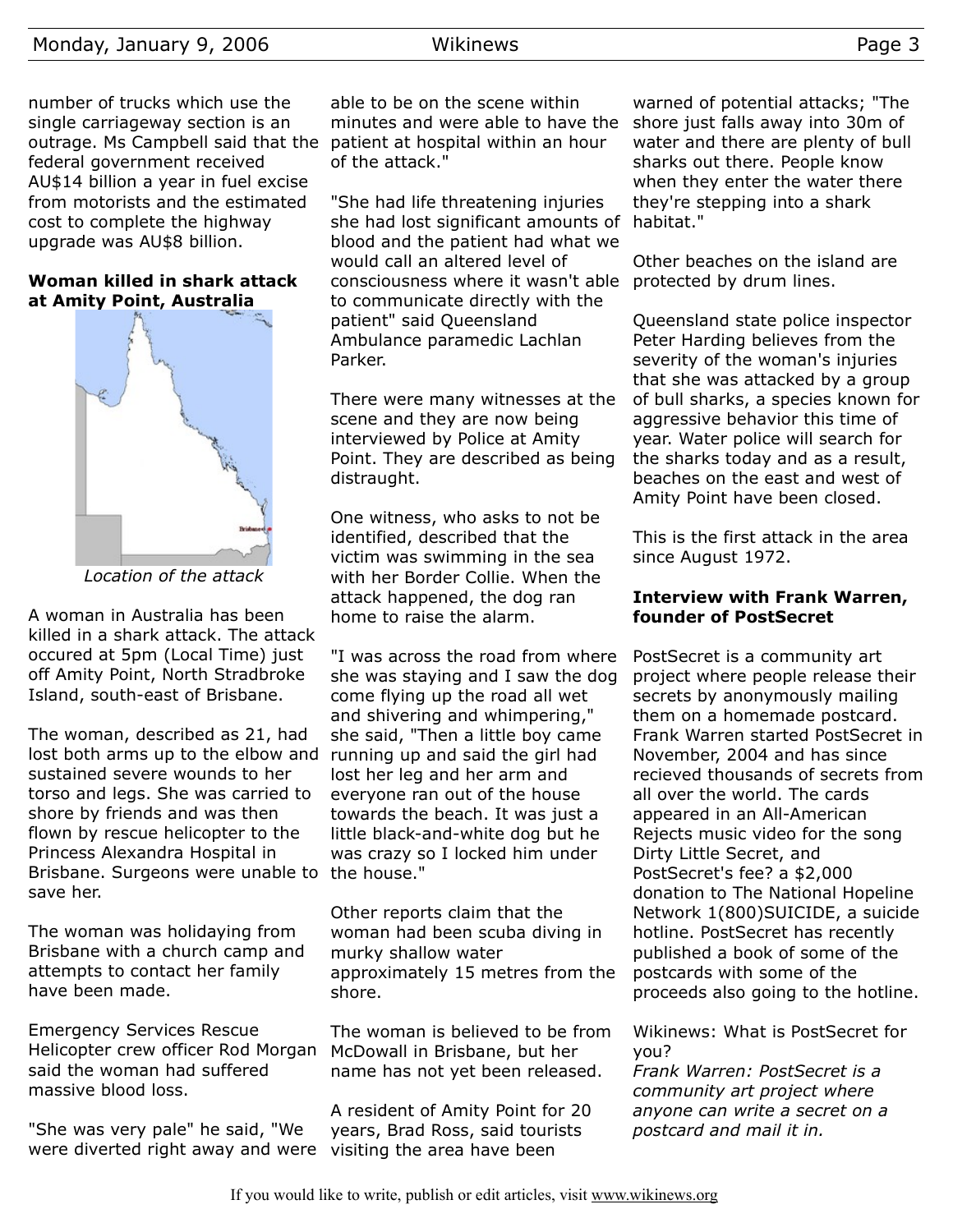number of trucks which use the single carriageway section is an outrage. Ms Campbell said that the federal government received AU\$14 billion a year in fuel excise from motorists and the estimated cost to complete the highway upgrade was AU\$8 billion.

## **Woman killed in shark attack at Amity Point, Australia**



*Location of the attack*

A woman in Australia has been killed in a shark attack. The attack occured at 5pm (Local Time) just off Amity Point, North Stradbroke Island, south-east of Brisbane.

The woman, described as 21, had lost both arms up to the elbow and running up and said the girl had sustained severe wounds to her torso and legs. She was carried to shore by friends and was then flown by rescue helicopter to the Princess Alexandra Hospital in Brisbane. Surgeons were unable to the house." save her.

The woman was holidaying from Brisbane with a church camp and attempts to contact her family have been made.

Emergency Services Rescue Helicopter crew officer Rod Morgan said the woman had suffered massive blood loss.

"She was very pale" he said, "We were diverted right away and were visiting the area have been

able to be on the scene within minutes and were able to have the patient at hospital within an hour of the attack."

"She had life threatening injuries she had lost significant amounts of blood and the patient had what we would call an altered level of consciousness where it wasn't able to communicate directly with the patient" said Queensland Ambulance paramedic Lachlan Parker.

There were many witnesses at the scene and they are now being interviewed by Police at Amity Point. They are described as being distraught.

One witness, who asks to not be identified, described that the victim was swimming in the sea with her Border Collie. When the attack happened, the dog ran home to raise the alarm.

"I was across the road from where she was staying and I saw the dog come flying up the road all wet and shivering and whimpering," she said, "Then a little boy came lost her leg and her arm and everyone ran out of the house towards the beach. It was just a little black-and-white dog but he was crazy so I locked him under

Other reports claim that the woman had been scuba diving in murky shallow water approximately 15 metres from the shore.

The woman is believed to be from McDowall in Brisbane, but her name has not yet been released.

A resident of Amity Point for 20 years, Brad Ross, said tourists

warned of potential attacks; "The shore just falls away into 30m of water and there are plenty of bull sharks out there. People know when they enter the water there they're stepping into a shark habitat."

Other beaches on the island are protected by drum lines.

Queensland state police inspector Peter Harding believes from the severity of the woman's injuries that she was attacked by a group of bull sharks, a species known for aggressive behavior this time of year. Water police will search for the sharks today and as a result, beaches on the east and west of Amity Point have been closed.

This is the first attack in the area since August 1972.

## **Interview with Frank Warren, founder of PostSecret**

PostSecret is a community art project where people release their secrets by anonymously mailing them on a homemade postcard. Frank Warren started PostSecret in November, 2004 and has since recieved thousands of secrets from all over the world. The cards appeared in an All-American Rejects music video for the song Dirty Little Secret, and PostSecret's fee? a \$2,000 donation to The National Hopeline Network 1(800)SUICIDE, a suicide hotline. PostSecret has recently published a book of some of the postcards with some of the proceeds also going to the hotline.

Wikinews: What is PostSecret for you?

*Frank Warren: PostSecret is a community art project where anyone can write a secret on a postcard and mail it in.*